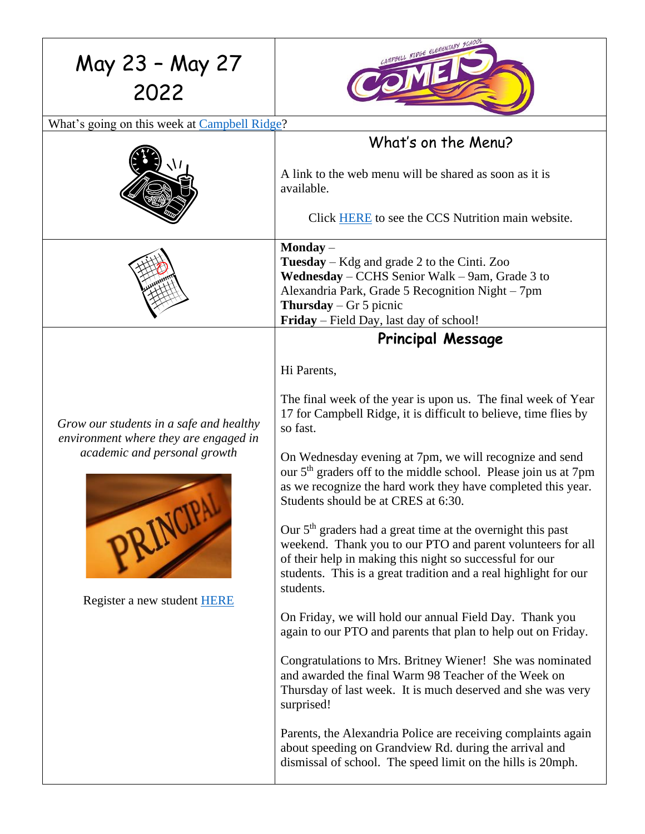| May 23 - May 27<br>2022                                                                                                                                             | AMPBELL RIDGE ELEMENTARY FCHOOL                                                                                                                                                                                                                                                                                                                                                                                                                                                                                                                                                                                                                                                                                                                                                                                                                                                                                                                                                                                                    |
|---------------------------------------------------------------------------------------------------------------------------------------------------------------------|------------------------------------------------------------------------------------------------------------------------------------------------------------------------------------------------------------------------------------------------------------------------------------------------------------------------------------------------------------------------------------------------------------------------------------------------------------------------------------------------------------------------------------------------------------------------------------------------------------------------------------------------------------------------------------------------------------------------------------------------------------------------------------------------------------------------------------------------------------------------------------------------------------------------------------------------------------------------------------------------------------------------------------|
| What's going on this week at Campbell Ridge?                                                                                                                        |                                                                                                                                                                                                                                                                                                                                                                                                                                                                                                                                                                                                                                                                                                                                                                                                                                                                                                                                                                                                                                    |
|                                                                                                                                                                     | What's on the Menu?<br>A link to the web menu will be shared as soon as it is<br>available.<br>Click HERE to see the CCS Nutrition main website.                                                                                                                                                                                                                                                                                                                                                                                                                                                                                                                                                                                                                                                                                                                                                                                                                                                                                   |
|                                                                                                                                                                     | $\mathbf{Monday}-$<br><b>Tuesday</b> – Kdg and grade 2 to the Cinti. Zoo<br>Wednesday – CCHS Senior Walk – 9am, Grade 3 to<br>Alexandria Park, Grade 5 Recognition Night - 7pm<br><b>Thursday</b> – Gr 5 picnic<br>Friday – Field Day, last day of school!                                                                                                                                                                                                                                                                                                                                                                                                                                                                                                                                                                                                                                                                                                                                                                         |
|                                                                                                                                                                     | <b>Principal Message</b>                                                                                                                                                                                                                                                                                                                                                                                                                                                                                                                                                                                                                                                                                                                                                                                                                                                                                                                                                                                                           |
| Grow our students in a safe and healthy<br>environment where they are engaged in<br>academic and personal growth<br>PRINCIPAL<br>Register a new student <b>HERE</b> | Hi Parents,<br>The final week of the year is upon us. The final week of Year<br>17 for Campbell Ridge, it is difficult to believe, time flies by<br>so fast.<br>On Wednesday evening at 7pm, we will recognize and send<br>our 5 <sup>th</sup> graders off to the middle school. Please join us at 7pm<br>as we recognize the hard work they have completed this year.<br>Students should be at CRES at 6:30.<br>Our 5 <sup>th</sup> graders had a great time at the overnight this past<br>weekend. Thank you to our PTO and parent volunteers for all<br>of their help in making this night so successful for our<br>students. This is a great tradition and a real highlight for our<br>students.<br>On Friday, we will hold our annual Field Day. Thank you<br>again to our PTO and parents that plan to help out on Friday.<br>Congratulations to Mrs. Britney Wiener! She was nominated<br>and awarded the final Warm 98 Teacher of the Week on<br>Thursday of last week. It is much deserved and she was very<br>surprised! |
|                                                                                                                                                                     | Parents, the Alexandria Police are receiving complaints again<br>about speeding on Grandview Rd. during the arrival and<br>dismissal of school. The speed limit on the hills is 20mph.                                                                                                                                                                                                                                                                                                                                                                                                                                                                                                                                                                                                                                                                                                                                                                                                                                             |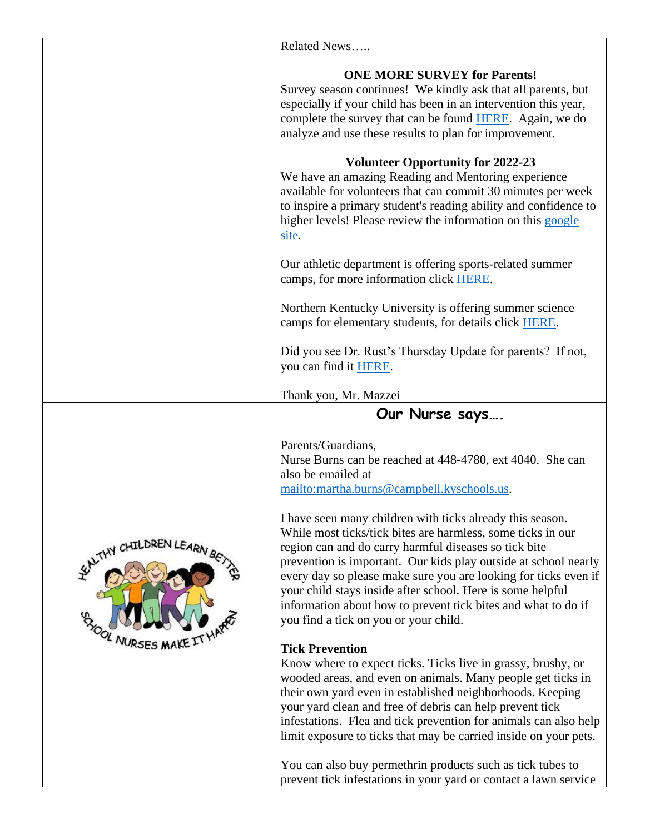|                                                  | Related News                                                                                                                                                                                                                                                                                                                                                                                                                                                                                    |
|--------------------------------------------------|-------------------------------------------------------------------------------------------------------------------------------------------------------------------------------------------------------------------------------------------------------------------------------------------------------------------------------------------------------------------------------------------------------------------------------------------------------------------------------------------------|
|                                                  |                                                                                                                                                                                                                                                                                                                                                                                                                                                                                                 |
|                                                  | <b>ONE MORE SURVEY for Parents!</b><br>Survey season continues! We kindly ask that all parents, but<br>especially if your child has been in an intervention this year,<br>complete the survey that can be found HERE. Again, we do<br>analyze and use these results to plan for improvement.                                                                                                                                                                                                    |
|                                                  | <b>Volunteer Opportunity for 2022-23</b><br>We have an amazing Reading and Mentoring experience<br>available for volunteers that can commit 30 minutes per week<br>to inspire a primary student's reading ability and confidence to<br>higher levels! Please review the information on this google<br>site.                                                                                                                                                                                     |
|                                                  | Our athletic department is offering sports-related summer<br>camps, for more information click <b>HERE</b> .                                                                                                                                                                                                                                                                                                                                                                                    |
|                                                  | Northern Kentucky University is offering summer science<br>camps for elementary students, for details click <b>HERE</b> .                                                                                                                                                                                                                                                                                                                                                                       |
|                                                  | Did you see Dr. Rust's Thursday Update for parents? If not,<br>you can find it <b>HERE</b> .                                                                                                                                                                                                                                                                                                                                                                                                    |
|                                                  | Thank you, Mr. Mazzei                                                                                                                                                                                                                                                                                                                                                                                                                                                                           |
|                                                  | Our Nurse says                                                                                                                                                                                                                                                                                                                                                                                                                                                                                  |
| WATHY CHILDREN LEARN BET<br><b>CAYOOL NURSES</b> | Parents/Guardians,<br>Nurse Burns can be reached at 448-4780, ext 4040. She can<br>also be emailed at<br>mailto:martha.burns@campbell.kyschools.us.                                                                                                                                                                                                                                                                                                                                             |
|                                                  | I have seen many children with ticks already this season.<br>While most ticks/tick bites are harmless, some ticks in our<br>region can and do carry harmful diseases so tick bite<br>prevention is important. Our kids play outside at school nearly<br>every day so please make sure you are looking for ticks even if<br>your child stays inside after school. Here is some helpful<br>information about how to prevent tick bites and what to do if<br>you find a tick on you or your child. |
|                                                  | <b>Tick Prevention</b><br>Know where to expect ticks. Ticks live in grassy, brushy, or<br>wooded areas, and even on animals. Many people get ticks in<br>their own yard even in established neighborhoods. Keeping<br>your yard clean and free of debris can help prevent tick<br>infestations. Flea and tick prevention for animals can also help<br>limit exposure to ticks that may be carried inside on your pets.                                                                          |
|                                                  | You can also buy permethrin products such as tick tubes to<br>prevent tick infestations in your yard or contact a lawn service                                                                                                                                                                                                                                                                                                                                                                  |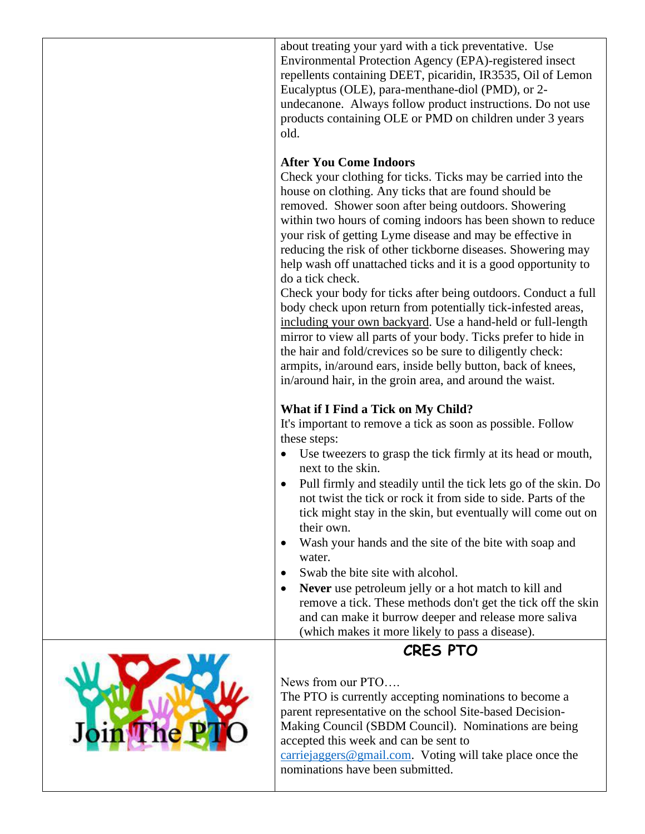|    | about treating your yard with a tick preventative. Use<br>Environmental Protection Agency (EPA)-registered insect<br>repellents containing DEET, picaridin, IR3535, Oil of Lemon<br>Eucalyptus (OLE), para-menthane-diol (PMD), or 2-<br>undecanone. Always follow product instructions. Do not use<br>products containing OLE or PMD on children under 3 years<br>old.                                                                                                                                                                                                                                                                                                                                                                                                                                                                                                                                                                                       |
|----|---------------------------------------------------------------------------------------------------------------------------------------------------------------------------------------------------------------------------------------------------------------------------------------------------------------------------------------------------------------------------------------------------------------------------------------------------------------------------------------------------------------------------------------------------------------------------------------------------------------------------------------------------------------------------------------------------------------------------------------------------------------------------------------------------------------------------------------------------------------------------------------------------------------------------------------------------------------|
|    | <b>After You Come Indoors</b><br>Check your clothing for ticks. Ticks may be carried into the<br>house on clothing. Any ticks that are found should be<br>removed. Shower soon after being outdoors. Showering<br>within two hours of coming indoors has been shown to reduce<br>your risk of getting Lyme disease and may be effective in<br>reducing the risk of other tickborne diseases. Showering may<br>help wash off unattached ticks and it is a good opportunity to<br>do a tick check.<br>Check your body for ticks after being outdoors. Conduct a full<br>body check upon return from potentially tick-infested areas,<br>including your own backyard. Use a hand-held or full-length<br>mirror to view all parts of your body. Ticks prefer to hide in<br>the hair and fold/crevices so be sure to diligently check:<br>armpits, in/around ears, inside belly button, back of knees,<br>in/around hair, in the groin area, and around the waist. |
|    | What if I Find a Tick on My Child?<br>It's important to remove a tick as soon as possible. Follow<br>these steps:<br>Use tweezers to grasp the tick firmly at its head or mouth,<br>$\bullet$<br>next to the skin.<br>Pull firmly and steadily until the tick lets go of the skin. Do<br>$\bullet$<br>not twist the tick or rock it from side to side. Parts of the<br>tick might stay in the skin, but eventually will come out on<br>their own.<br>Wash your hands and the site of the bite with soap and<br>$\bullet$<br>water.<br>Swab the bite site with alcohol.<br>Never use petroleum jelly or a hot match to kill and<br>$\bullet$<br>remove a tick. These methods don't get the tick off the skin<br>and can make it burrow deeper and release more saliva<br>(which makes it more likely to pass a disease).                                                                                                                                       |
| he | <b>CRES PTO</b><br>News from our PTO<br>The PTO is currently accepting nominations to become a<br>parent representative on the school Site-based Decision-<br>Making Council (SBDM Council). Nominations are being<br>accepted this week and can be sent to<br>$carriejaggers@gmail.com$ . Voting will take place once the<br>nominations have been submitted.                                                                                                                                                                                                                                                                                                                                                                                                                                                                                                                                                                                                |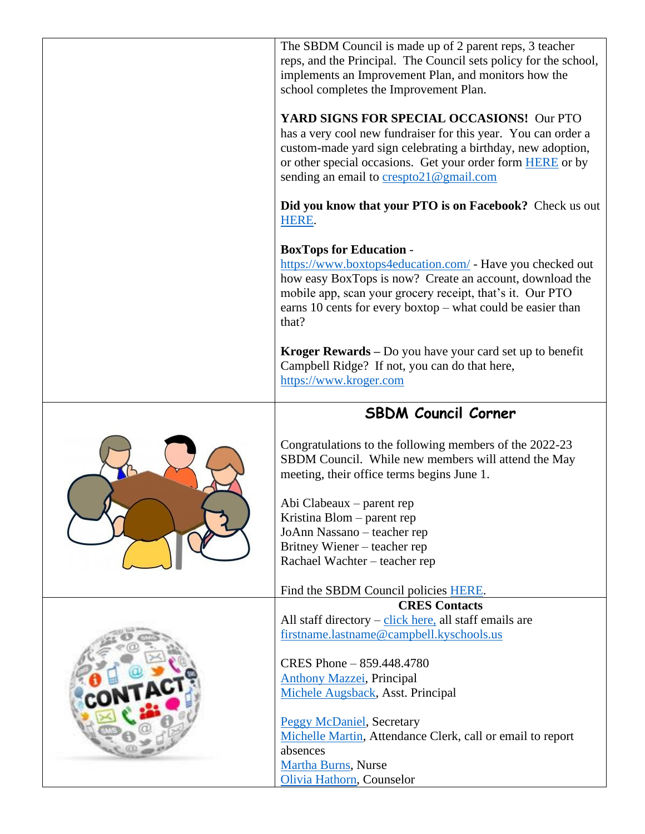| The SBDM Council is made up of 2 parent reps, 3 teacher<br>reps, and the Principal. The Council sets policy for the school,<br>implements an Improvement Plan, and monitors how the<br>school completes the Improvement Plan.<br>YARD SIGNS FOR SPECIAL OCCASIONS! Our PTO<br>has a very cool new fundraiser for this year. You can order a<br>custom-made yard sign celebrating a birthday, new adoption,<br>or other special occasions. Get your order form <b>HERE</b> or by<br>sending an email to crespto21@gmail.com |  |
|----------------------------------------------------------------------------------------------------------------------------------------------------------------------------------------------------------------------------------------------------------------------------------------------------------------------------------------------------------------------------------------------------------------------------------------------------------------------------------------------------------------------------|--|
| Did you know that your PTO is on Facebook? Check us out<br>HERE.                                                                                                                                                                                                                                                                                                                                                                                                                                                           |  |
| <b>BoxTops for Education -</b><br>https://www.boxtops4education.com/ - Have you checked out<br>how easy BoxTops is now? Create an account, download the<br>mobile app, scan your grocery receipt, that's it. Our PTO<br>earns 10 cents for every boxtop – what could be easier than<br>that?                                                                                                                                                                                                                               |  |
| Kroger Rewards – Do you have your card set up to benefit<br>Campbell Ridge? If not, you can do that here,<br>https://www.kroger.com                                                                                                                                                                                                                                                                                                                                                                                        |  |
| <b>SBDM Council Corner</b>                                                                                                                                                                                                                                                                                                                                                                                                                                                                                                 |  |
| Congratulations to the following members of the 2022-23<br>SBDM Council. While new members will attend the May<br>meeting, their office terms begins June 1.<br>Abi Clabeaux – parent rep<br>Kristina Blom – parent rep<br>JoAnn Nassano - teacher rep                                                                                                                                                                                                                                                                     |  |
| Britney Wiener – teacher rep                                                                                                                                                                                                                                                                                                                                                                                                                                                                                               |  |
| Rachael Wachter - teacher rep                                                                                                                                                                                                                                                                                                                                                                                                                                                                                              |  |
| Find the SBDM Council policies HERE.                                                                                                                                                                                                                                                                                                                                                                                                                                                                                       |  |
| <b>CRES Contacts</b>                                                                                                                                                                                                                                                                                                                                                                                                                                                                                                       |  |
| All staff directory $-\text{click}$ here, all staff emails are<br>firstname.lastname@campbell.kyschools.us                                                                                                                                                                                                                                                                                                                                                                                                                 |  |
| CRES Phone - 859.448.4780<br><b>Anthony Mazzei</b> , Principal<br>Michele Augsback, Asst. Principal                                                                                                                                                                                                                                                                                                                                                                                                                        |  |
| <b>Peggy McDaniel</b> , Secretary<br>Michelle Martin, Attendance Clerk, call or email to report<br>absences<br><b>Martha Burns</b> , Nurse<br>Olivia Hathorn, Counselor                                                                                                                                                                                                                                                                                                                                                    |  |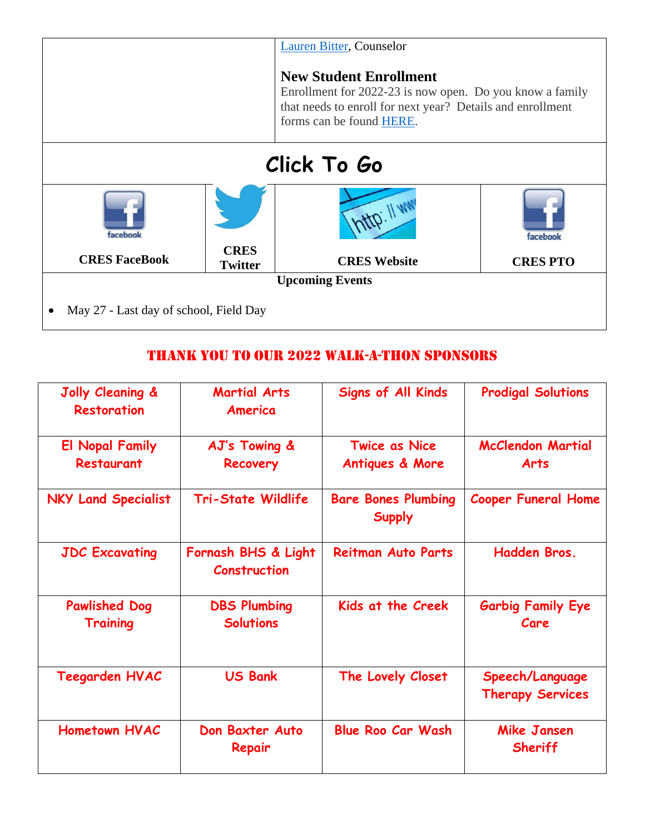

## Thank you to our 2022 Walk-a-Thon sponsors

| Jolly Cleaning &<br><b>Restoration</b>      | <b>Martial Arts</b><br>America             | <b>Signs of All Kinds</b>                          | <b>Prodigal Solutions</b>                  |
|---------------------------------------------|--------------------------------------------|----------------------------------------------------|--------------------------------------------|
| <b>El Nopal Family</b><br><b>Restaurant</b> | AJ's Towing &<br>Recovery                  | <b>Twice as Nice</b><br><b>Antiques &amp; More</b> | <b>McClendon Martial</b><br><b>Arts</b>    |
| <b>NKY Land Specialist</b>                  | <b>Tri-State Wildlife</b>                  | <b>Bare Bones Plumbing</b><br><b>Supply</b>        | <b>Cooper Funeral Home</b>                 |
| <b>JDC Excavating</b>                       | Fornash BHS & Light<br><b>Construction</b> | <b>Reitman Auto Parts</b>                          | Hadden Bros.                               |
| <b>Pawlished Dog</b><br><b>Training</b>     | <b>DBS Plumbing</b><br><b>Solutions</b>    | Kids at the Creek                                  | <b>Garbig Family Eye</b><br>Care           |
| <b>Teegarden HVAC</b>                       | <b>US Bank</b>                             | The Lovely Closet                                  | Speech/Language<br><b>Therapy Services</b> |
| <b>Hometown HVAC</b>                        | Don Baxter Auto<br>Repair                  | <b>Blue Roo Car Wash</b>                           | <b>Mike Jansen</b><br>Sheriff              |